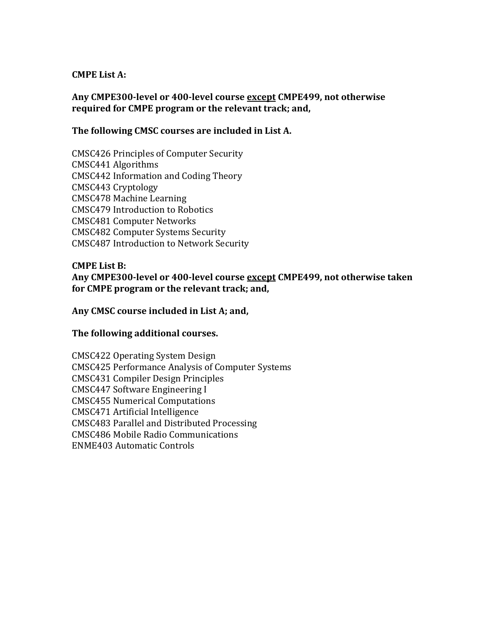### **CMPE List A:**

# **Any CMPE300-level or 400-level course except CMPE499, not otherwise required for CMPE program or the relevant track; and,**

## **The following CMSC courses are included in List A.**

CMSC426 Principles of Computer Security CMSC441 Algorithms CMSC442 Information and Coding Theory CMSC443 Cryptology CMSC478 Machine Learning CMSC479 Introduction to Robotics CMSC481 Computer Networks CMSC482 Computer Systems Security CMSC487 Introduction to Network Security

#### **CMPE List B: Any CMPE300-level or 400-level course except CMPE499, not otherwise taken for CMPE program or the relevant track; and,**

#### **Any CMSC course included in List A; and,**

#### **The following additional courses.**

CMSC422 Operating System Design CMSC425 Performance Analysis of Computer Systems CMSC431 Compiler Design Principles CMSC447 Software Engineering I CMSC455 Numerical Computations CMSC471 Artificial Intelligence CMSC483 Parallel and Distributed Processing CMSC486 Mobile Radio Communications ENME403 Automatic Controls